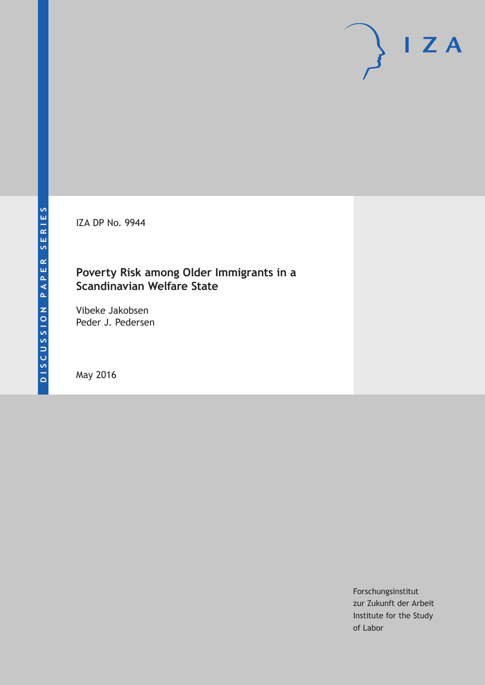IZA DP No. 9944

## **Poverty Risk among Older Immigrants in a Scandinavian Welfare State**

Vibeke Jakobsen Peder J. Pedersen

May 2016

Forschungsinstitut zur Zukunft der Arbeit Institute for the Study of Labor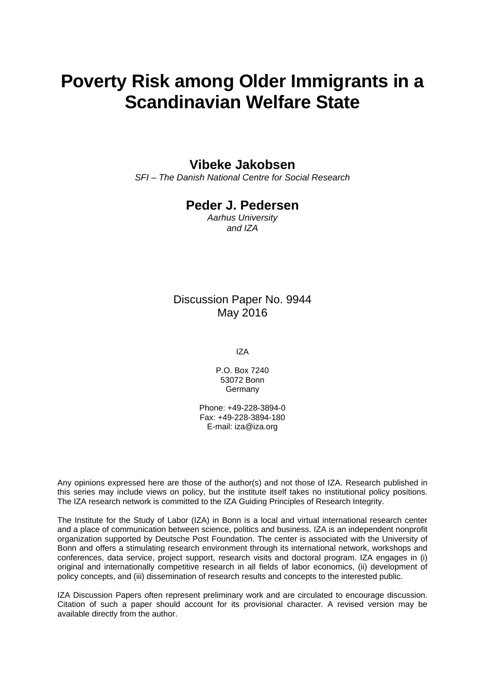# **Poverty Risk among Older Immigrants in a Scandinavian Welfare State**

## **Vibeke Jakobsen**

*SFI – The Danish National Centre for Social Research* 

## **Peder J. Pedersen**

*Aarhus University and IZA* 

### Discussion Paper No. 9944 May 2016

IZA

P.O. Box 7240 53072 Bonn Germany

Phone: +49-228-3894-0 Fax: +49-228-3894-180 E-mail: iza@iza.org

Any opinions expressed here are those of the author(s) and not those of IZA. Research published in this series may include views on policy, but the institute itself takes no institutional policy positions. The IZA research network is committed to the IZA Guiding Principles of Research Integrity.

The Institute for the Study of Labor (IZA) in Bonn is a local and virtual international research center and a place of communication between science, politics and business. IZA is an independent nonprofit organization supported by Deutsche Post Foundation. The center is associated with the University of Bonn and offers a stimulating research environment through its international network, workshops and conferences, data service, project support, research visits and doctoral program. IZA engages in (i) original and internationally competitive research in all fields of labor economics, (ii) development of policy concepts, and (iii) dissemination of research results and concepts to the interested public.

IZA Discussion Papers often represent preliminary work and are circulated to encourage discussion. Citation of such a paper should account for its provisional character. A revised version may be available directly from the author.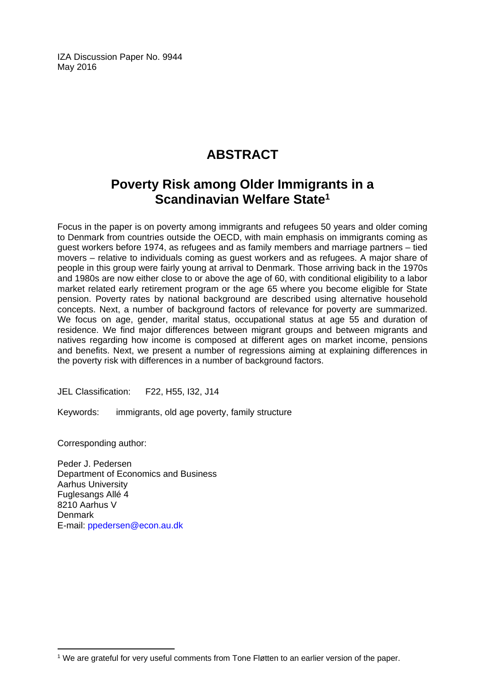IZA Discussion Paper No. 9944 May 2016

## **ABSTRACT**

## **Poverty Risk among Older Immigrants in a Scandinavian Welfare State1**

Focus in the paper is on poverty among immigrants and refugees 50 years and older coming to Denmark from countries outside the OECD, with main emphasis on immigrants coming as guest workers before 1974, as refugees and as family members and marriage partners – tied movers – relative to individuals coming as guest workers and as refugees. A major share of people in this group were fairly young at arrival to Denmark. Those arriving back in the 1970s and 1980s are now either close to or above the age of 60, with conditional eligibility to a labor market related early retirement program or the age 65 where you become eligible for State pension. Poverty rates by national background are described using alternative household concepts. Next, a number of background factors of relevance for poverty are summarized. We focus on age, gender, marital status, occupational status at age 55 and duration of residence. We find major differences between migrant groups and between migrants and natives regarding how income is composed at different ages on market income, pensions and benefits. Next, we present a number of regressions aiming at explaining differences in the poverty risk with differences in a number of background factors.

JEL Classification: F22, H55, I32, J14

Keywords: immigrants, old age poverty, family structure

Corresponding author:

 $\overline{a}$ 

Peder J. Pedersen Department of Economics and Business Aarhus University Fuglesangs Allé 4 8210 Aarhus V **Denmark** E-mail: ppedersen@econ.au.dk

<sup>&</sup>lt;sup>1</sup> We are grateful for very useful comments from Tone Fløtten to an earlier version of the paper.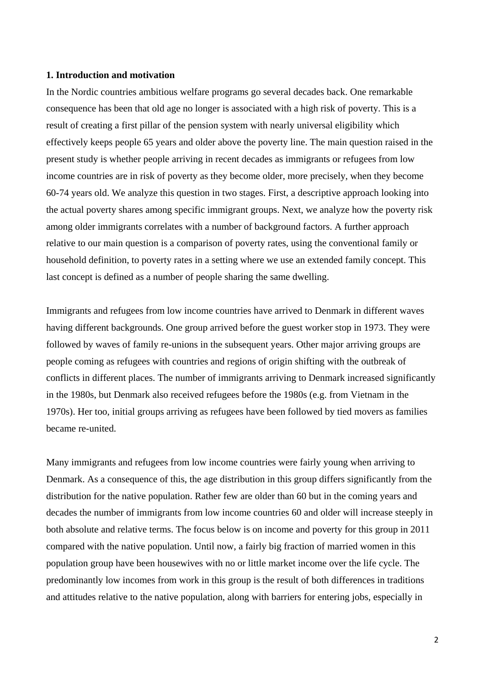#### **1. Introduction and motivation**

In the Nordic countries ambitious welfare programs go several decades back. One remarkable consequence has been that old age no longer is associated with a high risk of poverty. This is a result of creating a first pillar of the pension system with nearly universal eligibility which effectively keeps people 65 years and older above the poverty line. The main question raised in the present study is whether people arriving in recent decades as immigrants or refugees from low income countries are in risk of poverty as they become older, more precisely, when they become 60-74 years old. We analyze this question in two stages. First, a descriptive approach looking into the actual poverty shares among specific immigrant groups. Next, we analyze how the poverty risk among older immigrants correlates with a number of background factors. A further approach relative to our main question is a comparison of poverty rates, using the conventional family or household definition, to poverty rates in a setting where we use an extended family concept. This last concept is defined as a number of people sharing the same dwelling.

Immigrants and refugees from low income countries have arrived to Denmark in different waves having different backgrounds. One group arrived before the guest worker stop in 1973. They were followed by waves of family re-unions in the subsequent years. Other major arriving groups are people coming as refugees with countries and regions of origin shifting with the outbreak of conflicts in different places. The number of immigrants arriving to Denmark increased significantly in the 1980s, but Denmark also received refugees before the 1980s (e.g. from Vietnam in the 1970s). Her too, initial groups arriving as refugees have been followed by tied movers as families became re-united.

Many immigrants and refugees from low income countries were fairly young when arriving to Denmark. As a consequence of this, the age distribution in this group differs significantly from the distribution for the native population. Rather few are older than 60 but in the coming years and decades the number of immigrants from low income countries 60 and older will increase steeply in both absolute and relative terms. The focus below is on income and poverty for this group in 2011 compared with the native population. Until now, a fairly big fraction of married women in this population group have been housewives with no or little market income over the life cycle. The predominantly low incomes from work in this group is the result of both differences in traditions and attitudes relative to the native population, along with barriers for entering jobs, especially in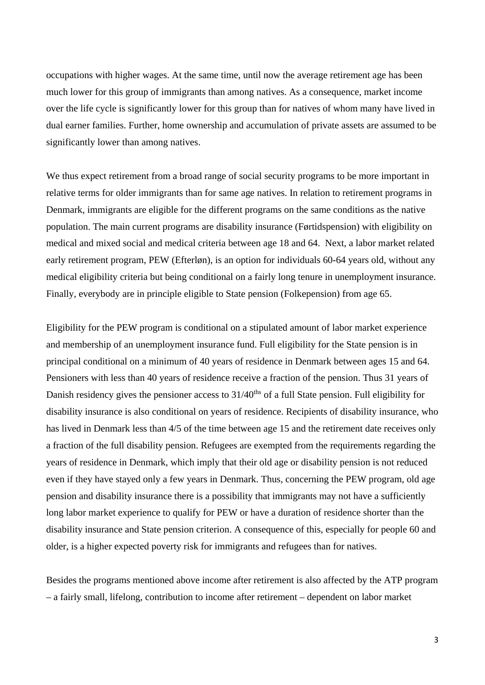occupations with higher wages. At the same time, until now the average retirement age has been much lower for this group of immigrants than among natives. As a consequence, market income over the life cycle is significantly lower for this group than for natives of whom many have lived in dual earner families. Further, home ownership and accumulation of private assets are assumed to be significantly lower than among natives.

We thus expect retirement from a broad range of social security programs to be more important in relative terms for older immigrants than for same age natives. In relation to retirement programs in Denmark, immigrants are eligible for the different programs on the same conditions as the native population. The main current programs are disability insurance (Førtidspension) with eligibility on medical and mixed social and medical criteria between age 18 and 64. Next, a labor market related early retirement program, PEW (Efterløn), is an option for individuals 60-64 years old, without any medical eligibility criteria but being conditional on a fairly long tenure in unemployment insurance. Finally, everybody are in principle eligible to State pension (Folkepension) from age 65.

Eligibility for the PEW program is conditional on a stipulated amount of labor market experience and membership of an unemployment insurance fund. Full eligibility for the State pension is in principal conditional on a minimum of 40 years of residence in Denmark between ages 15 and 64. Pensioners with less than 40 years of residence receive a fraction of the pension. Thus 31 years of Danish residency gives the pensioner access to 31/40<sup>ths</sup> of a full State pension. Full eligibility for disability insurance is also conditional on years of residence. Recipients of disability insurance, who has lived in Denmark less than 4/5 of the time between age 15 and the retirement date receives only a fraction of the full disability pension. Refugees are exempted from the requirements regarding the years of residence in Denmark, which imply that their old age or disability pension is not reduced even if they have stayed only a few years in Denmark. Thus, concerning the PEW program, old age pension and disability insurance there is a possibility that immigrants may not have a sufficiently long labor market experience to qualify for PEW or have a duration of residence shorter than the disability insurance and State pension criterion. A consequence of this, especially for people 60 and older, is a higher expected poverty risk for immigrants and refugees than for natives.

Besides the programs mentioned above income after retirement is also affected by the ATP program – a fairly small, lifelong, contribution to income after retirement – dependent on labor market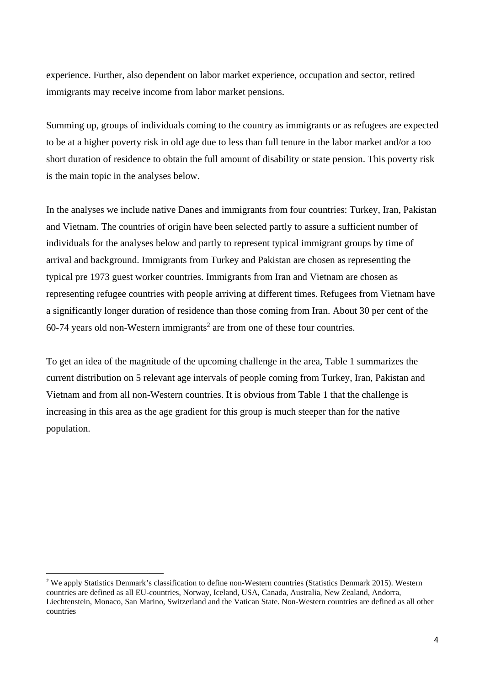experience. Further, also dependent on labor market experience, occupation and sector, retired immigrants may receive income from labor market pensions.

Summing up, groups of individuals coming to the country as immigrants or as refugees are expected to be at a higher poverty risk in old age due to less than full tenure in the labor market and/or a too short duration of residence to obtain the full amount of disability or state pension. This poverty risk is the main topic in the analyses below.

In the analyses we include native Danes and immigrants from four countries: Turkey, Iran, Pakistan and Vietnam. The countries of origin have been selected partly to assure a sufficient number of individuals for the analyses below and partly to represent typical immigrant groups by time of arrival and background. Immigrants from Turkey and Pakistan are chosen as representing the typical pre 1973 guest worker countries. Immigrants from Iran and Vietnam are chosen as representing refugee countries with people arriving at different times. Refugees from Vietnam have a significantly longer duration of residence than those coming from Iran. About 30 per cent of the  $60-74$  years old non-Western immigrants<sup>2</sup> are from one of these four countries.

To get an idea of the magnitude of the upcoming challenge in the area, Table 1 summarizes the current distribution on 5 relevant age intervals of people coming from Turkey, Iran, Pakistan and Vietnam and from all non-Western countries. It is obvious from Table 1 that the challenge is increasing in this area as the age gradient for this group is much steeper than for the native population.

<sup>&</sup>lt;sup>2</sup> We apply Statistics Denmark's classification to define non-Western countries (Statistics Denmark 2015). Western countries are defined as all EU-countries, Norway, Iceland, USA, Canada, Australia, New Zealand, Andorra, Liechtenstein, Monaco, San Marino, Switzerland and the Vatican State. Non-Western countries are defined as all other countries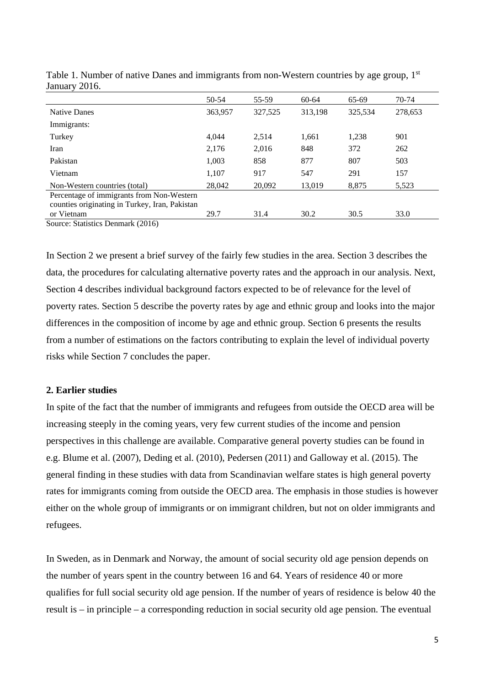|                                                | 50-54   | 55-59   | 60-64   | 65-69   | 70-74   |
|------------------------------------------------|---------|---------|---------|---------|---------|
| <b>Native Danes</b>                            | 363,957 | 327,525 | 313,198 | 325,534 | 278,653 |
| Immigrants:                                    |         |         |         |         |         |
| Turkey                                         | 4.044   | 2,514   | 1,661   | 1,238   | 901     |
| Iran                                           | 2,176   | 2,016   | 848     | 372     | 262     |
| Pakistan                                       | 1,003   | 858     | 877     | 807     | 503     |
| Vietnam                                        | 1,107   | 917     | 547     | 291     | 157     |
| Non-Western countries (total)                  | 28,042  | 20,092  | 13,019  | 8,875   | 5,523   |
| Percentage of immigrants from Non-Western      |         |         |         |         |         |
| counties originating in Turkey, Iran, Pakistan |         |         |         |         |         |
| or Vietnam                                     | 29.7    | 31.4    | 30.2    | 30.5    | 33.0    |
| Source: Statistics Denmark (2016)              |         |         |         |         |         |

Table 1. Number of native Danes and immigrants from non-Western countries by age group, 1<sup>st</sup> January 2016.

In Section 2 we present a brief survey of the fairly few studies in the area. Section 3 describes the data, the procedures for calculating alternative poverty rates and the approach in our analysis. Next, Section 4 describes individual background factors expected to be of relevance for the level of poverty rates. Section 5 describe the poverty rates by age and ethnic group and looks into the major differences in the composition of income by age and ethnic group. Section 6 presents the results from a number of estimations on the factors contributing to explain the level of individual poverty risks while Section 7 concludes the paper.

#### **2. Earlier studies**

In spite of the fact that the number of immigrants and refugees from outside the OECD area will be increasing steeply in the coming years, very few current studies of the income and pension perspectives in this challenge are available. Comparative general poverty studies can be found in e.g. Blume et al. (2007), Deding et al. (2010), Pedersen (2011) and Galloway et al. (2015). The general finding in these studies with data from Scandinavian welfare states is high general poverty rates for immigrants coming from outside the OECD area. The emphasis in those studies is however either on the whole group of immigrants or on immigrant children, but not on older immigrants and refugees.

In Sweden, as in Denmark and Norway, the amount of social security old age pension depends on the number of years spent in the country between 16 and 64. Years of residence 40 or more qualifies for full social security old age pension. If the number of years of residence is below 40 the result is – in principle – a corresponding reduction in social security old age pension. The eventual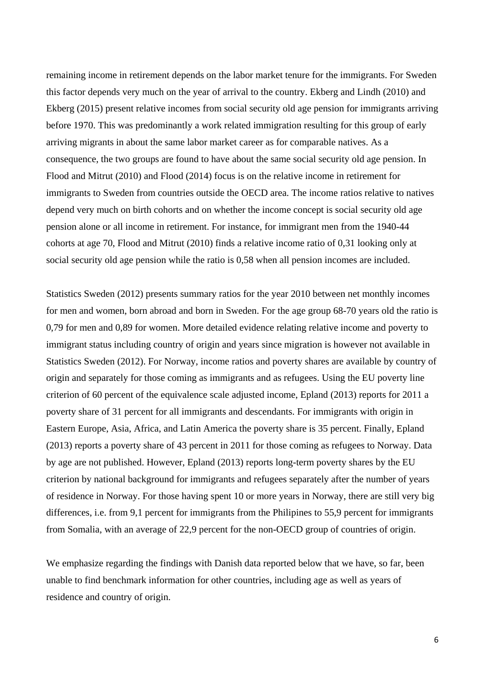remaining income in retirement depends on the labor market tenure for the immigrants. For Sweden this factor depends very much on the year of arrival to the country. Ekberg and Lindh (2010) and Ekberg (2015) present relative incomes from social security old age pension for immigrants arriving before 1970. This was predominantly a work related immigration resulting for this group of early arriving migrants in about the same labor market career as for comparable natives. As a consequence, the two groups are found to have about the same social security old age pension. In Flood and Mitrut (2010) and Flood (2014) focus is on the relative income in retirement for immigrants to Sweden from countries outside the OECD area. The income ratios relative to natives depend very much on birth cohorts and on whether the income concept is social security old age pension alone or all income in retirement. For instance, for immigrant men from the 1940-44 cohorts at age 70, Flood and Mitrut (2010) finds a relative income ratio of 0,31 looking only at social security old age pension while the ratio is 0,58 when all pension incomes are included.

Statistics Sweden (2012) presents summary ratios for the year 2010 between net monthly incomes for men and women, born abroad and born in Sweden. For the age group 68-70 years old the ratio is 0,79 for men and 0,89 for women. More detailed evidence relating relative income and poverty to immigrant status including country of origin and years since migration is however not available in Statistics Sweden (2012). For Norway, income ratios and poverty shares are available by country of origin and separately for those coming as immigrants and as refugees. Using the EU poverty line criterion of 60 percent of the equivalence scale adjusted income, Epland (2013) reports for 2011 a poverty share of 31 percent for all immigrants and descendants. For immigrants with origin in Eastern Europe, Asia, Africa, and Latin America the poverty share is 35 percent. Finally, Epland (2013) reports a poverty share of 43 percent in 2011 for those coming as refugees to Norway. Data by age are not published. However, Epland (2013) reports long-term poverty shares by the EU criterion by national background for immigrants and refugees separately after the number of years of residence in Norway. For those having spent 10 or more years in Norway, there are still very big differences, i.e. from 9,1 percent for immigrants from the Philipines to 55,9 percent for immigrants from Somalia, with an average of 22,9 percent for the non-OECD group of countries of origin.

We emphasize regarding the findings with Danish data reported below that we have, so far, been unable to find benchmark information for other countries, including age as well as years of residence and country of origin.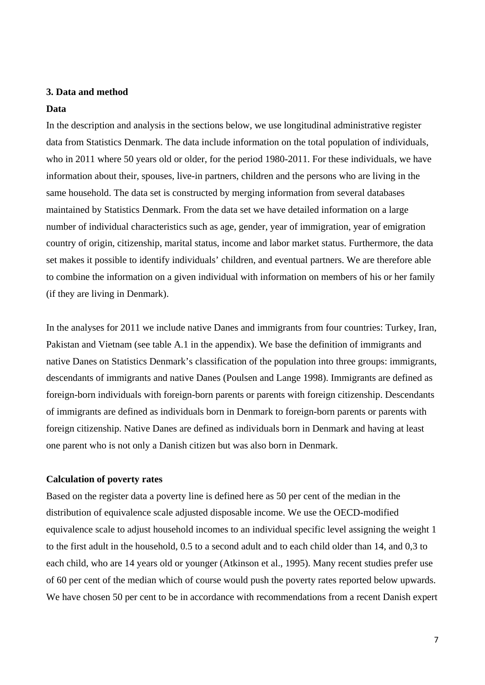#### **3. Data and method**

#### **Data**

In the description and analysis in the sections below, we use longitudinal administrative register data from Statistics Denmark. The data include information on the total population of individuals, who in 2011 where 50 years old or older, for the period 1980-2011. For these individuals, we have information about their, spouses, live-in partners, children and the persons who are living in the same household. The data set is constructed by merging information from several databases maintained by Statistics Denmark. From the data set we have detailed information on a large number of individual characteristics such as age, gender, year of immigration, year of emigration country of origin, citizenship, marital status, income and labor market status. Furthermore, the data set makes it possible to identify individuals' children, and eventual partners. We are therefore able to combine the information on a given individual with information on members of his or her family (if they are living in Denmark).

In the analyses for 2011 we include native Danes and immigrants from four countries: Turkey, Iran, Pakistan and Vietnam (see table A.1 in the appendix). We base the definition of immigrants and native Danes on Statistics Denmark's classification of the population into three groups: immigrants, descendants of immigrants and native Danes (Poulsen and Lange 1998). Immigrants are defined as foreign-born individuals with foreign-born parents or parents with foreign citizenship. Descendants of immigrants are defined as individuals born in Denmark to foreign-born parents or parents with foreign citizenship. Native Danes are defined as individuals born in Denmark and having at least one parent who is not only a Danish citizen but was also born in Denmark.

#### **Calculation of poverty rates**

Based on the register data a poverty line is defined here as 50 per cent of the median in the distribution of equivalence scale adjusted disposable income. We use the OECD-modified equivalence scale to adjust household incomes to an individual specific level assigning the weight 1 to the first adult in the household, 0.5 to a second adult and to each child older than 14, and 0,3 to each child, who are 14 years old or younger (Atkinson et al., 1995). Many recent studies prefer use of 60 per cent of the median which of course would push the poverty rates reported below upwards. We have chosen 50 per cent to be in accordance with recommendations from a recent Danish expert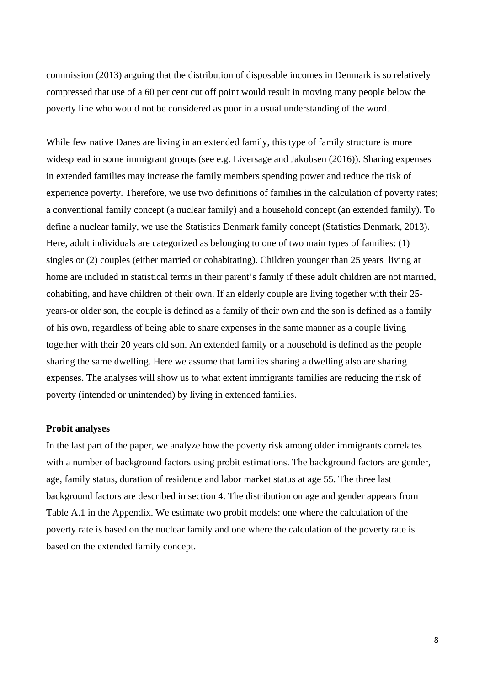commission (2013) arguing that the distribution of disposable incomes in Denmark is so relatively compressed that use of a 60 per cent cut off point would result in moving many people below the poverty line who would not be considered as poor in a usual understanding of the word.

While few native Danes are living in an extended family, this type of family structure is more widespread in some immigrant groups (see e.g. Liversage and Jakobsen (2016)). Sharing expenses in extended families may increase the family members spending power and reduce the risk of experience poverty. Therefore, we use two definitions of families in the calculation of poverty rates; a conventional family concept (a nuclear family) and a household concept (an extended family). To define a nuclear family, we use the Statistics Denmark family concept (Statistics Denmark, 2013). Here, adult individuals are categorized as belonging to one of two main types of families: (1) singles or (2) couples (either married or cohabitating). Children younger than 25 years living at home are included in statistical terms in their parent's family if these adult children are not married, cohabiting, and have children of their own. If an elderly couple are living together with their 25 years-or older son, the couple is defined as a family of their own and the son is defined as a family of his own, regardless of being able to share expenses in the same manner as a couple living together with their 20 years old son. An extended family or a household is defined as the people sharing the same dwelling. Here we assume that families sharing a dwelling also are sharing expenses. The analyses will show us to what extent immigrants families are reducing the risk of poverty (intended or unintended) by living in extended families.

#### **Probit analyses**

In the last part of the paper, we analyze how the poverty risk among older immigrants correlates with a number of background factors using probit estimations. The background factors are gender, age, family status, duration of residence and labor market status at age 55. The three last background factors are described in section 4. The distribution on age and gender appears from Table A.1 in the Appendix. We estimate two probit models: one where the calculation of the poverty rate is based on the nuclear family and one where the calculation of the poverty rate is based on the extended family concept.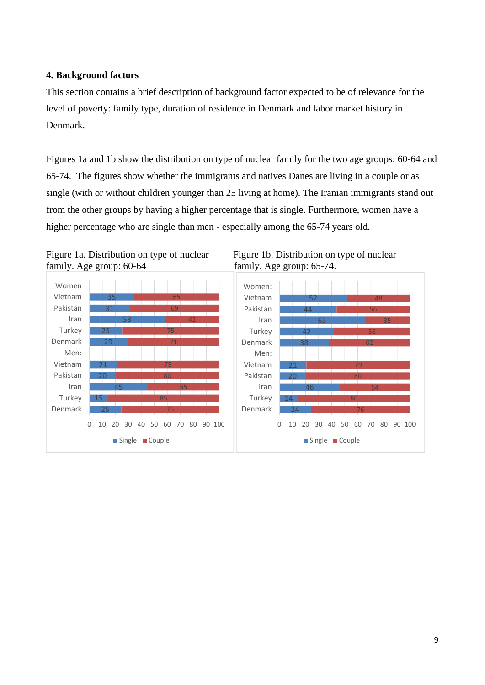### **4. Background factors**

This section contains a brief description of background factor expected to be of relevance for the level of poverty: family type, duration of residence in Denmark and labor market history in Denmark.

Figures 1a and 1b show the distribution on type of nuclear family for the two age groups: 60-64 and 65-74. The figures show whether the immigrants and natives Danes are living in a couple or as single (with or without children younger than 25 living at home). The Iranian immigrants stand out from the other groups by having a higher percentage that is single. Furthermore, women have a higher percentage who are single than men - especially among the 65-74 years old.





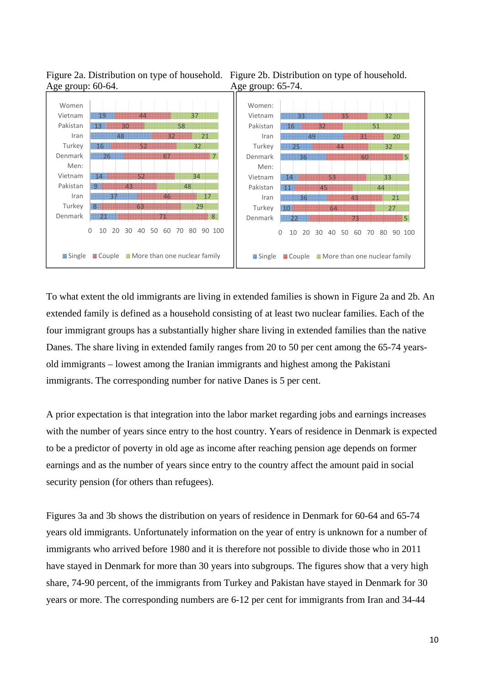

Figure 2a. Distribution on type of household. Figure 2b. Distribution on type of household. Age group: 60-64. Age group: 65-74.

To what extent the old immigrants are living in extended families is shown in Figure 2a and 2b. An extended family is defined as a household consisting of at least two nuclear families. Each of the four immigrant groups has a substantially higher share living in extended families than the native Danes. The share living in extended family ranges from 20 to 50 per cent among the 65-74 yearsold immigrants – lowest among the Iranian immigrants and highest among the Pakistani immigrants. The corresponding number for native Danes is 5 per cent.

A prior expectation is that integration into the labor market regarding jobs and earnings increases with the number of years since entry to the host country. Years of residence in Denmark is expected to be a predictor of poverty in old age as income after reaching pension age depends on former earnings and as the number of years since entry to the country affect the amount paid in social security pension (for others than refugees).

Figures 3a and 3b shows the distribution on years of residence in Denmark for 60-64 and 65-74 years old immigrants. Unfortunately information on the year of entry is unknown for a number of immigrants who arrived before 1980 and it is therefore not possible to divide those who in 2011 have stayed in Denmark for more than 30 years into subgroups. The figures show that a very high share, 74-90 percent, of the immigrants from Turkey and Pakistan have stayed in Denmark for 30 years or more. The corresponding numbers are 6-12 per cent for immigrants from Iran and 34-44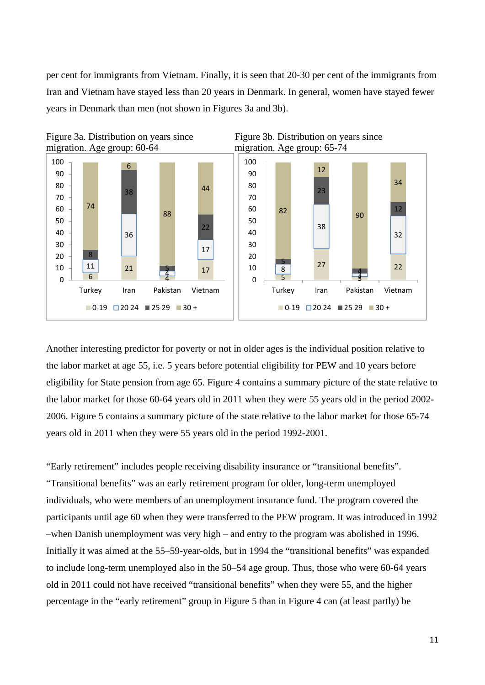per cent for immigrants from Vietnam. Finally, it is seen that 20-30 per cent of the immigrants from Iran and Vietnam have stayed less than 20 years in Denmark. In general, women have stayed fewer years in Denmark than men (not shown in Figures 3a and 3b).



Another interesting predictor for poverty or not in older ages is the individual position relative to the labor market at age 55, i.e. 5 years before potential eligibility for PEW and 10 years before eligibility for State pension from age 65. Figure 4 contains a summary picture of the state relative to the labor market for those 60-64 years old in 2011 when they were 55 years old in the period 2002- 2006. Figure 5 contains a summary picture of the state relative to the labor market for those 65-74 years old in 2011 when they were 55 years old in the period 1992-2001.

"Early retirement" includes people receiving disability insurance or "transitional benefits". "Transitional benefits" was an early retirement program for older, long-term unemployed individuals, who were members of an unemployment insurance fund. The program covered the participants until age 60 when they were transferred to the PEW program. It was introduced in 1992 –when Danish unemployment was very high – and entry to the program was abolished in 1996. Initially it was aimed at the 55–59-year-olds, but in 1994 the "transitional benefits" was expanded to include long-term unemployed also in the 50–54 age group. Thus, those who were 60-64 years old in 2011 could not have received "transitional benefits" when they were 55, and the higher percentage in the "early retirement" group in Figure 5 than in Figure 4 can (at least partly) be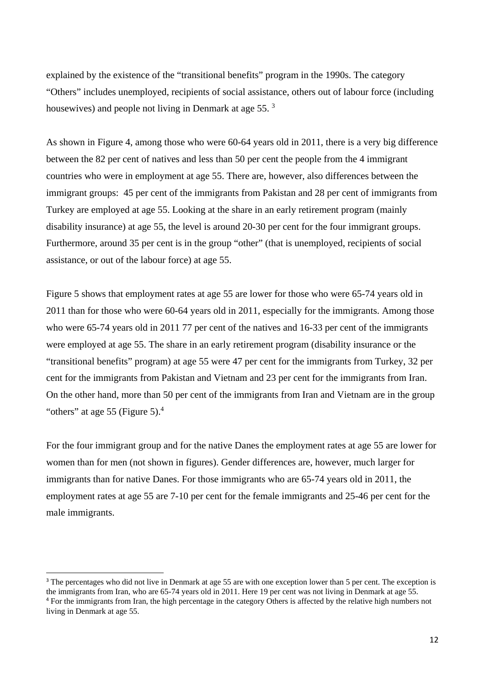explained by the existence of the "transitional benefits" program in the 1990s. The category "Others" includes unemployed, recipients of social assistance, others out of labour force (including housewives) and people not living in Denmark at age 55.<sup>3</sup>

As shown in Figure 4, among those who were 60-64 years old in 2011, there is a very big difference between the 82 per cent of natives and less than 50 per cent the people from the 4 immigrant countries who were in employment at age 55. There are, however, also differences between the immigrant groups: 45 per cent of the immigrants from Pakistan and 28 per cent of immigrants from Turkey are employed at age 55. Looking at the share in an early retirement program (mainly disability insurance) at age 55, the level is around 20-30 per cent for the four immigrant groups. Furthermore, around 35 per cent is in the group "other" (that is unemployed, recipients of social assistance, or out of the labour force) at age 55.

Figure 5 shows that employment rates at age 55 are lower for those who were 65-74 years old in 2011 than for those who were 60-64 years old in 2011, especially for the immigrants. Among those who were 65-74 years old in 2011 77 per cent of the natives and 16-33 per cent of the immigrants were employed at age 55. The share in an early retirement program (disability insurance or the "transitional benefits" program) at age 55 were 47 per cent for the immigrants from Turkey, 32 per cent for the immigrants from Pakistan and Vietnam and 23 per cent for the immigrants from Iran. On the other hand, more than 50 per cent of the immigrants from Iran and Vietnam are in the group "others" at age 55 (Figure 5). $4$ 

For the four immigrant group and for the native Danes the employment rates at age 55 are lower for women than for men (not shown in figures). Gender differences are, however, much larger for immigrants than for native Danes. For those immigrants who are 65-74 years old in 2011, the employment rates at age 55 are 7-10 per cent for the female immigrants and 25-46 per cent for the male immigrants.

<sup>&</sup>lt;sup>3</sup> The percentages who did not live in Denmark at age 55 are with one exception lower than 5 per cent. The exception is the immigrants from Iran, who are 65-74 years old in 2011. Here 19 per cent was not living in Denmark at age 55. <sup>4</sup> For the immigrants from Iran, the high percentage in the category Others is affected by the relative high numbers not living in Denmark at age 55.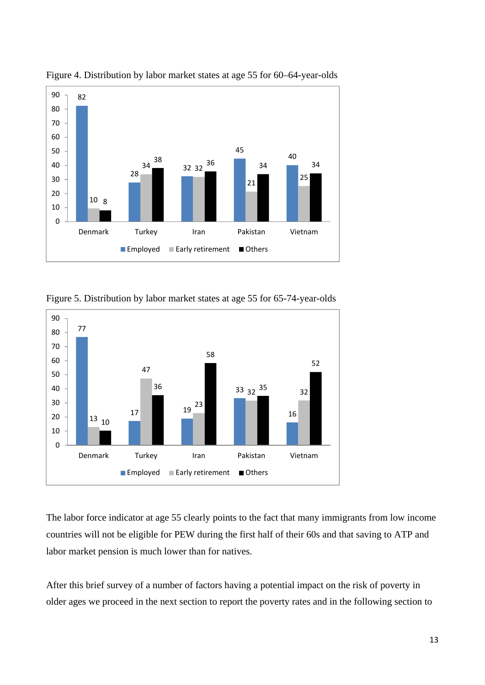

Figure 4. Distribution by labor market states at age 55 for 60–64-year-olds

Figure 5. Distribution by labor market states at age 55 for 65-74-year-olds



The labor force indicator at age 55 clearly points to the fact that many immigrants from low income countries will not be eligible for PEW during the first half of their 60s and that saving to ATP and labor market pension is much lower than for natives.

After this brief survey of a number of factors having a potential impact on the risk of poverty in older ages we proceed in the next section to report the poverty rates and in the following section to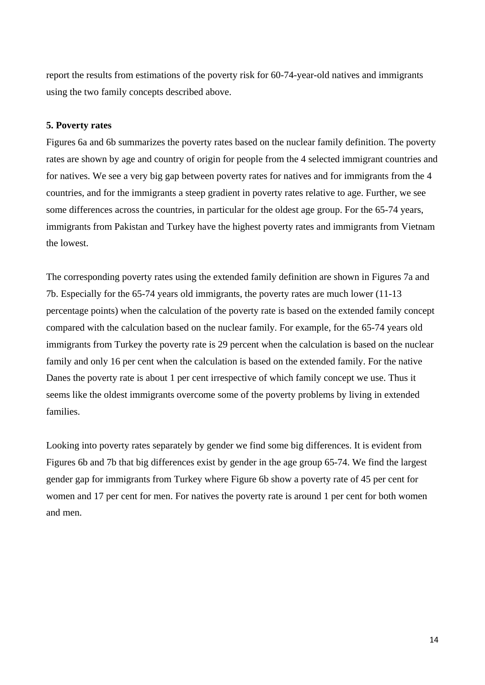report the results from estimations of the poverty risk for 60-74-year-old natives and immigrants using the two family concepts described above.

#### **5. Poverty rates**

Figures 6a and 6b summarizes the poverty rates based on the nuclear family definition. The poverty rates are shown by age and country of origin for people from the 4 selected immigrant countries and for natives. We see a very big gap between poverty rates for natives and for immigrants from the 4 countries, and for the immigrants a steep gradient in poverty rates relative to age. Further, we see some differences across the countries, in particular for the oldest age group. For the 65-74 years, immigrants from Pakistan and Turkey have the highest poverty rates and immigrants from Vietnam the lowest.

The corresponding poverty rates using the extended family definition are shown in Figures 7a and 7b. Especially for the 65-74 years old immigrants, the poverty rates are much lower (11-13 percentage points) when the calculation of the poverty rate is based on the extended family concept compared with the calculation based on the nuclear family. For example, for the 65-74 years old immigrants from Turkey the poverty rate is 29 percent when the calculation is based on the nuclear family and only 16 per cent when the calculation is based on the extended family. For the native Danes the poverty rate is about 1 per cent irrespective of which family concept we use. Thus it seems like the oldest immigrants overcome some of the poverty problems by living in extended families.

Looking into poverty rates separately by gender we find some big differences. It is evident from Figures 6b and 7b that big differences exist by gender in the age group 65-74. We find the largest gender gap for immigrants from Turkey where Figure 6b show a poverty rate of 45 per cent for women and 17 per cent for men. For natives the poverty rate is around 1 per cent for both women and men.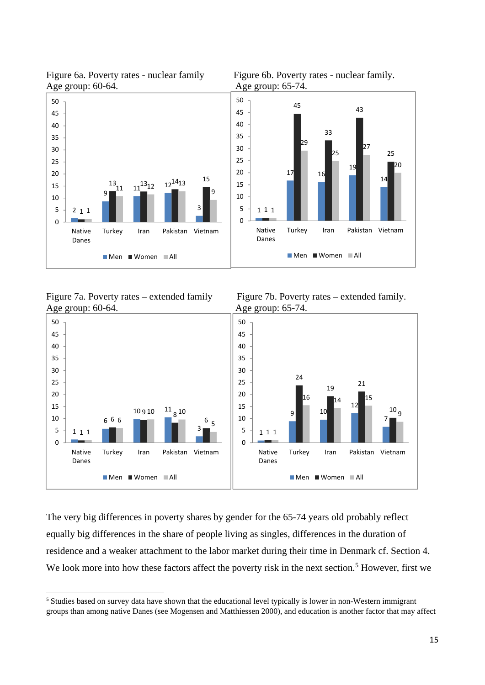

Figure 6a. Poverty rates - nuclear family Figure 6b. Poverty rates - nuclear family.

Figure 7a. Poverty rates – extended family Figure 7b. Poverty rates – extended family. Age group: 60-64. Age group: 65-74.

1

Native Danes

6 6

 $10910 \t 118$ 



 **T**  $\blacksquare$   $\blacksquare$   $\blacksquare$   $\blacksquare$   $\blacksquare$   $\blacksquare$   $\blacksquare$   $\blacksquare$   $\blacksquare$   $\blacksquare$   $\blacksquare$   $\blacksquare$   $\blacksquare$   $\blacksquare$   $\blacksquare$   $\blacksquare$   $\blacksquare$   $\blacksquare$   $\blacksquare$   $\blacksquare$   $\blacksquare$   $\blacksquare$   $\blacksquare$   $\blacksquare$   $\blacksquare$   $\blacksquare$   $\blacksquare$   $\blacksquare$   $\blacksquare$   $\blacksquare$   $\$   $^{11}$  g  $^{10}$  Turkey Iran Pakistan Vietnam Men Women All Danes Men Women All

The very big differences in poverty shares by gender for the 65-74 years old probably reflect equally big differences in the share of people living as singles, differences in the duration of residence and a weaker attachment to the labor market during their time in Denmark cf. Section 4. We look more into how these factors affect the poverty risk in the next section.<sup>5</sup> However, first we

<sup>&</sup>lt;sup>5</sup> Studies based on survey data have shown that the educational level typically is lower in non-Western immigrant groups than among native Danes (see Mogensen and Matthiessen 2000), and education is another factor that may affect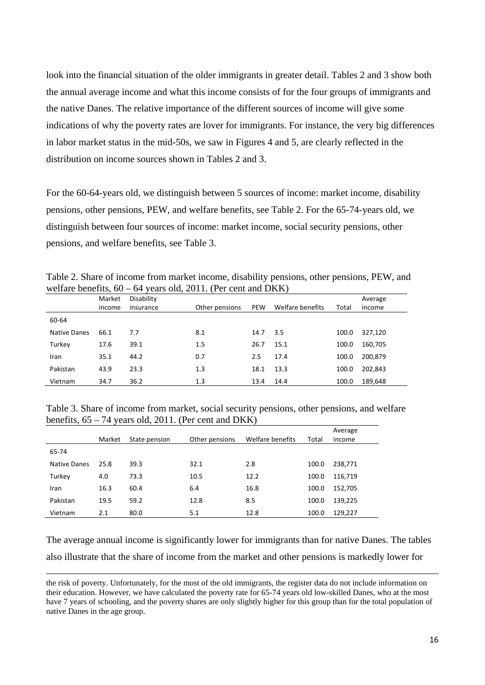look into the financial situation of the older immigrants in greater detail. Tables 2 and 3 show both the annual average income and what this income consists of for the four groups of immigrants and the native Danes. The relative importance of the different sources of income will give some indications of why the poverty rates are lover for immigrants. For instance, the very big differences in labor market status in the mid-50s, we saw in Figures 4 and 5, are clearly reflected in the distribution on income sources shown in Tables 2 and 3.

For the 60-64-years old, we distinguish between 5 sources of income: market income, disability pensions, other pensions, PEW, and welfare benefits, see Table 2. For the 65-74-years old, we distinguish between four sources of income: market income, social security pensions, other pensions, and welfare benefits, see Table 3.

Table 2. Share of income from market income, disability pensions, other pensions, PEW, and welfare benefits, 60 – 64 years old, 2011. (Per cent and DKK)

|              | Market | Disability |                |            |                  |       | Average |
|--------------|--------|------------|----------------|------------|------------------|-------|---------|
|              | income | insurance  | Other pensions | <b>PEW</b> | Welfare benefits | Total | income  |
| 60-64        |        |            |                |            |                  |       |         |
| Native Danes | 66.1   | 7.7        | 8.1            | 14.7       | 3.5              | 100.0 | 327,120 |
| Turkey       | 17.6   | 39.1       | 1.5            | 26.7       | 15.1             | 100.0 | 160,705 |
| Iran         | 35.1   | 44.2       | 0.7            | 2.5        | 17.4             | 100.0 | 200,879 |
| Pakistan     | 43.9   | 23.3       | 1.3            | 18.1       | 13.3             | 100.0 | 202,843 |
| Vietnam      | 34.7   | 36.2       | 1.3            | 13.4       | 14.4             | 100.0 | 189,648 |

Table 3. Share of income from market, social security pensions, other pensions, and welfare benefits,  $65 - 74$  years old, 2011. (Per cent and DKK)

|              | Market | State pension | Other pensions | Welfare benefits | Total | Average<br>income |
|--------------|--------|---------------|----------------|------------------|-------|-------------------|
| 65-74        |        |               |                |                  |       |                   |
| Native Danes | 25.8   | 39.3          | 32.1           | 2.8              | 100.0 | 238,771           |
| Turkey       | 4.0    | 73.3          | 10.5           | 12.2             | 100.0 | 116,719           |
| Iran         | 16.3   | 60.4          | 6.4            | 16.8             | 100.0 | 152,705           |
| Pakistan     | 19.5   | 59.2          | 12.8           | 8.5              | 100.0 | 139,225           |
| Vietnam      | 2.1    | 80.0          | 5.1            | 12.8             | 100.0 | 129,227           |

The average annual income is significantly lower for immigrants than for native Danes. The tables also illustrate that the share of income from the market and other pensions is markedly lower for

<u> 1989 - Johann Stoff, amerikansk politiker (d. 1989)</u>

the risk of poverty. Unfortunately, for the most of the old immigrants, the register data do not include information on their education. However, we have calculated the poverty rate for 65-74 years old low-skilled Danes, who at the most have 7 years of schooling, and the poverty shares are only slightly higher for this group than for the total population of native Danes in the age group.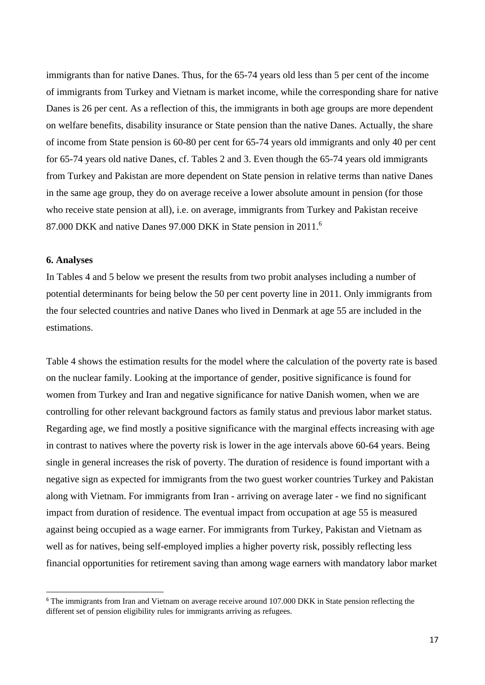immigrants than for native Danes. Thus, for the 65-74 years old less than 5 per cent of the income of immigrants from Turkey and Vietnam is market income, while the corresponding share for native Danes is 26 per cent. As a reflection of this, the immigrants in both age groups are more dependent on welfare benefits, disability insurance or State pension than the native Danes. Actually, the share of income from State pension is 60-80 per cent for 65-74 years old immigrants and only 40 per cent for 65-74 years old native Danes, cf. Tables 2 and 3. Even though the 65-74 years old immigrants from Turkey and Pakistan are more dependent on State pension in relative terms than native Danes in the same age group, they do on average receive a lower absolute amount in pension (for those who receive state pension at all), i.e. on average, immigrants from Turkey and Pakistan receive 87.000 DKK and native Danes 97.000 DKK in State pension in 2011.<sup>6</sup>

#### **6. Analyses**

In Tables 4 and 5 below we present the results from two probit analyses including a number of potential determinants for being below the 50 per cent poverty line in 2011. Only immigrants from the four selected countries and native Danes who lived in Denmark at age 55 are included in the estimations.

Table 4 shows the estimation results for the model where the calculation of the poverty rate is based on the nuclear family. Looking at the importance of gender, positive significance is found for women from Turkey and Iran and negative significance for native Danish women, when we are controlling for other relevant background factors as family status and previous labor market status. Regarding age, we find mostly a positive significance with the marginal effects increasing with age in contrast to natives where the poverty risk is lower in the age intervals above 60-64 years. Being single in general increases the risk of poverty. The duration of residence is found important with a negative sign as expected for immigrants from the two guest worker countries Turkey and Pakistan along with Vietnam. For immigrants from Iran - arriving on average later - we find no significant impact from duration of residence. The eventual impact from occupation at age 55 is measured against being occupied as a wage earner. For immigrants from Turkey, Pakistan and Vietnam as well as for natives, being self-employed implies a higher poverty risk, possibly reflecting less financial opportunities for retirement saving than among wage earners with mandatory labor market

<sup>6</sup> The immigrants from Iran and Vietnam on average receive around 107.000 DKK in State pension reflecting the different set of pension eligibility rules for immigrants arriving as refugees.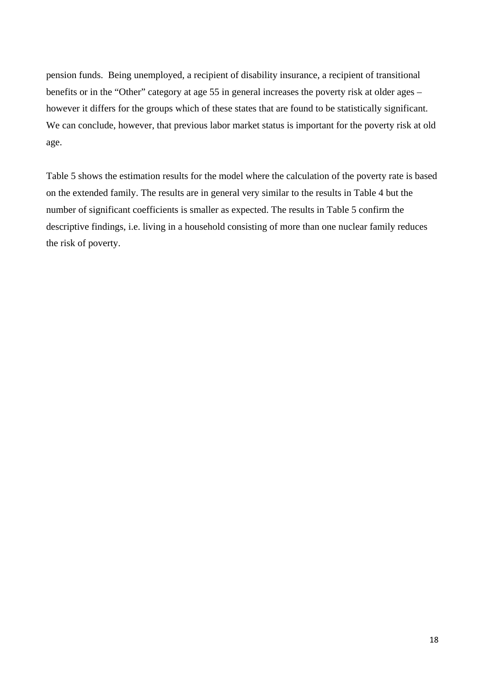pension funds. Being unemployed, a recipient of disability insurance, a recipient of transitional benefits or in the "Other" category at age 55 in general increases the poverty risk at older ages – however it differs for the groups which of these states that are found to be statistically significant. We can conclude, however, that previous labor market status is important for the poverty risk at old age.

Table 5 shows the estimation results for the model where the calculation of the poverty rate is based on the extended family. The results are in general very similar to the results in Table 4 but the number of significant coefficients is smaller as expected. The results in Table 5 confirm the descriptive findings, i.e. living in a household consisting of more than one nuclear family reduces the risk of poverty.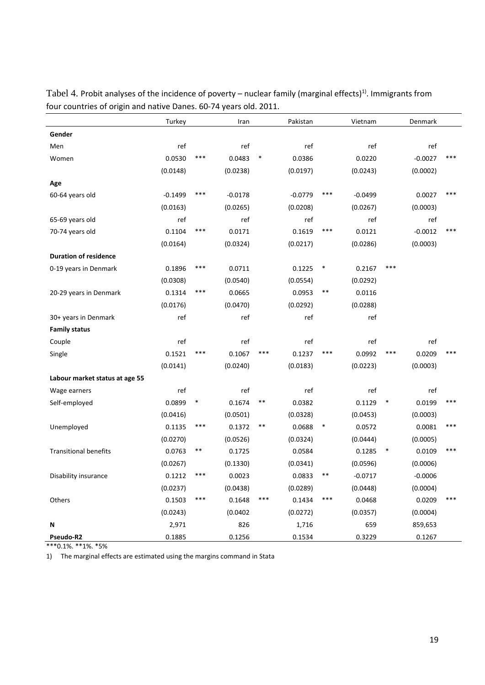|                                | Turkey    |        | Iran      |        | Pakistan  |        | Vietnam   |        | Denmark   |     |
|--------------------------------|-----------|--------|-----------|--------|-----------|--------|-----------|--------|-----------|-----|
| Gender                         |           |        |           |        |           |        |           |        |           |     |
| Men                            | ref       |        | ref       |        | ref       |        | ref       |        | ref       |     |
| Women                          | 0.0530    | ***    | 0.0483    | $\ast$ | 0.0386    |        | 0.0220    |        | $-0.0027$ | *** |
|                                | (0.0148)  |        | (0.0238)  |        | (0.0197)  |        | (0.0243)  |        | (0.0002)  |     |
| Age                            |           |        |           |        |           |        |           |        |           |     |
| 60-64 years old                | $-0.1499$ | ***    | $-0.0178$ |        | $-0.0779$ | ***    | $-0.0499$ |        | 0.0027    | *** |
|                                | (0.0163)  |        | (0.0265)  |        | (0.0208)  |        | (0.0267)  |        | (0.0003)  |     |
| 65-69 years old                | ref       |        | ref       |        | ref       |        | ref       |        | ref       |     |
| 70-74 years old                | 0.1104    | ***    | 0.0171    |        | 0.1619    | ***    | 0.0121    |        | $-0.0012$ | *** |
|                                | (0.0164)  |        | (0.0324)  |        | (0.0217)  |        | (0.0286)  |        | (0.0003)  |     |
| <b>Duration of residence</b>   |           |        |           |        |           |        |           |        |           |     |
| 0-19 years in Denmark          | 0.1896    | ***    | 0.0711    |        | 0.1225    | $\ast$ | 0.2167    | ***    |           |     |
|                                | (0.0308)  |        | (0.0540)  |        | (0.0554)  |        | (0.0292)  |        |           |     |
| 20-29 years in Denmark         | 0.1314    | ***    | 0.0665    |        | 0.0953    | $***$  | 0.0116    |        |           |     |
|                                | (0.0176)  |        | (0.0470)  |        | (0.0292)  |        | (0.0288)  |        |           |     |
| 30+ years in Denmark           | ref       |        | ref       |        | ref       |        | ref       |        |           |     |
| <b>Family status</b>           |           |        |           |        |           |        |           |        |           |     |
| Couple                         | ref       |        | ref       |        | ref       |        | ref       |        | ref       |     |
| Single                         | 0.1521    | ***    | 0.1067    | ***    | 0.1237    | ***    | 0.0992    | ***    | 0.0209    | *** |
|                                | (0.0141)  |        | (0.0240)  |        | (0.0183)  |        | (0.0223)  |        | (0.0003)  |     |
| Labour market status at age 55 |           |        |           |        |           |        |           |        |           |     |
| Wage earners                   | ref       |        | ref       |        | ref       |        | ref       |        | ref       |     |
| Self-employed                  | 0.0899    | $\ast$ | 0.1674    | $***$  | 0.0382    |        | 0.1129    | $\ast$ | 0.0199    | *** |
|                                | (0.0416)  |        | (0.0501)  |        | (0.0328)  |        | (0.0453)  |        | (0.0003)  |     |
| Unemployed                     | 0.1135    | ***    | 0.1372    | $***$  | 0.0688    | $\ast$ | 0.0572    |        | 0.0081    | *** |
|                                | (0.0270)  |        | (0.0526)  |        | (0.0324)  |        | (0.0444)  |        | (0.0005)  |     |
| <b>Transitional benefits</b>   | 0.0763    | $***$  | 0.1725    |        | 0.0584    |        | 0.1285    | $\ast$ | 0.0109    | *** |
|                                | (0.0267)  |        | (0.1330)  |        | (0.0341)  |        | (0.0596)  |        | (0.0006)  |     |
| Disability insurance           | 0.1212    | ***    | 0.0023    |        | 0.0833    | **     | $-0.0717$ |        | $-0.0006$ |     |
|                                | (0.0237)  |        | (0.0438)  |        | (0.0289)  |        | (0.0448)  |        | (0.0004)  |     |
| Others                         | 0.1503    | ***    | 0.1648    | ***    | 0.1434    | $***$  | 0.0468    |        | 0.0209    | *** |
|                                | (0.0243)  |        | (0.0402)  |        | (0.0272)  |        | (0.0357)  |        | (0.0004)  |     |
| N                              | 2,971     |        | 826       |        | 1,716     |        | 659       |        | 859,653   |     |
| Pseudo-R2                      | 0.1885    |        | 0.1256    |        | 0.1534    |        | 0.3229    |        | 0.1267    |     |

Tabel 4. Probit analyses of the incidence of poverty – nuclear family (marginal effects)<sup>1)</sup>. Immigrants from four countries of origin and native Danes. 60‐74 years old. 2011.

\*\*\*0.1%. \*\*1%. \*5%

1) The marginal effects are estimated using the margins command in Stata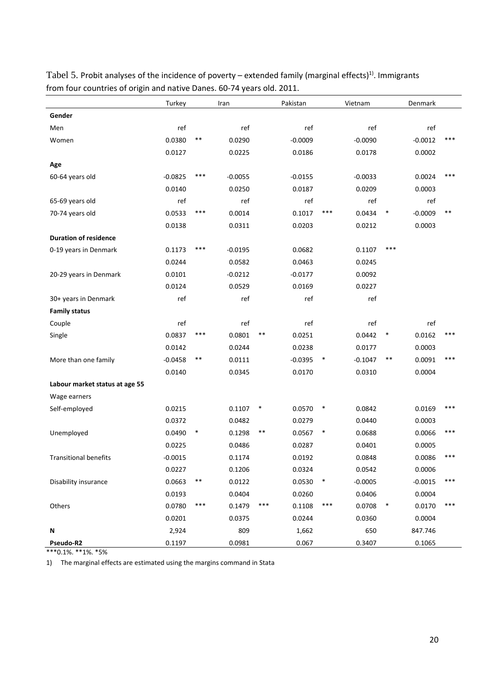|                                | Turkey    |        | Iran      |        | Pakistan  |        | Vietnam   |        | Denmark   |       |
|--------------------------------|-----------|--------|-----------|--------|-----------|--------|-----------|--------|-----------|-------|
| Gender                         |           |        |           |        |           |        |           |        |           |       |
| Men                            | ref       |        | ref       |        | ref       |        | ref       |        | ref       |       |
| Women                          | 0.0380    | $***$  | 0.0290    |        | $-0.0009$ |        | $-0.0090$ |        | $-0.0012$ | ***   |
|                                | 0.0127    |        | 0.0225    |        | 0.0186    |        | 0.0178    |        | 0.0002    |       |
| Age                            |           |        |           |        |           |        |           |        |           |       |
| 60-64 years old                | $-0.0825$ | ***    | $-0.0055$ |        | $-0.0155$ |        | $-0.0033$ |        | 0.0024    | ***   |
|                                | 0.0140    |        | 0.0250    |        | 0.0187    |        | 0.0209    |        | 0.0003    |       |
| 65-69 years old                | ref       |        | ref       |        | ref       |        | ref       |        | ref       |       |
| 70-74 years old                | 0.0533    | ***    | 0.0014    |        | 0.1017    | ***    | 0.0434    | $\ast$ | $-0.0009$ | $***$ |
|                                | 0.0138    |        | 0.0311    |        | 0.0203    |        | 0.0212    |        | 0.0003    |       |
| <b>Duration of residence</b>   |           |        |           |        |           |        |           |        |           |       |
| 0-19 years in Denmark          | 0.1173    | ***    | $-0.0195$ |        | 0.0682    |        | 0.1107    | ***    |           |       |
|                                | 0.0244    |        | 0.0582    |        | 0.0463    |        | 0.0245    |        |           |       |
| 20-29 years in Denmark         | 0.0101    |        | $-0.0212$ |        | $-0.0177$ |        | 0.0092    |        |           |       |
|                                | 0.0124    |        | 0.0529    |        | 0.0169    |        | 0.0227    |        |           |       |
| 30+ years in Denmark           | ref       |        | ref       |        | ref       |        | ref       |        |           |       |
| <b>Family status</b>           |           |        |           |        |           |        |           |        |           |       |
| Couple                         | ref       |        | ref       |        | ref       |        | ref       |        | ref       |       |
| Single                         | 0.0837    | ***    | 0.0801    | $***$  | 0.0251    |        | 0.0442    | $\ast$ | 0.0162    | $***$ |
|                                | 0.0142    |        | 0.0244    |        | 0.0238    |        | 0.0177    |        | 0.0003    |       |
| More than one family           | $-0.0458$ | $***$  | 0.0111    |        | $-0.0395$ | $\ast$ | $-0.1047$ | $***$  | 0.0091    | ***   |
|                                | 0.0140    |        | 0.0345    |        | 0.0170    |        | 0.0310    |        | 0.0004    |       |
| Labour market status at age 55 |           |        |           |        |           |        |           |        |           |       |
| Wage earners                   |           |        |           |        |           |        |           |        |           |       |
| Self-employed                  | 0.0215    |        | 0.1107    | $\ast$ | 0.0570    | $\ast$ | 0.0842    |        | 0.0169    | ***   |
|                                | 0.0372    |        | 0.0482    |        | 0.0279    |        | 0.0440    |        | 0.0003    |       |
| Unemployed                     | 0.0490    | $\ast$ | 0.1298    | $***$  | 0.0567    | $\ast$ | 0.0688    |        | 0.0066    | ***   |
|                                | 0.0225    |        | 0.0486    |        | 0.0287    |        | 0.0401    |        | 0.0005    |       |
| <b>Transitional benefits</b>   | $-0.0015$ |        | 0.1174    |        | 0.0192    |        | 0.0848    |        | 0.0086    | ***   |
|                                | 0.0227    |        | 0.1206    |        | 0.0324    |        | 0.0542    |        | 0.0006    |       |
| Disability insurance           | 0.0663    | $***$  | 0.0122    |        | 0.0530    | $\ast$ | $-0.0005$ |        | $-0.0015$ | ***   |
|                                | 0.0193    |        | 0.0404    |        | 0.0260    |        | 0.0406    |        | 0.0004    |       |
| Others                         | 0.0780    | $***$  | 0.1479    | ***    | 0.1108    | $***$  | 0.0708    | $\ast$ | 0.0170    | $***$ |
|                                | 0.0201    |        | 0.0375    |        | 0.0244    |        | 0.0360    |        | 0.0004    |       |
| Ν                              | 2,924     |        | 809       |        | 1,662     |        | 650       |        | 847.746   |       |
| Pseudo-R2                      | 0.1197    |        | 0.0981    |        | 0.067     |        | 0.3407    |        | 0.1065    |       |

Tabel 5. Probit analyses of the incidence of poverty – extended family (marginal effects)<sup>1)</sup>. Immigrants from four countries of origin and native Danes. 60‐74 years old. 2011.

\*\*\*0.1%. \*\*1%. \*5%

1) The marginal effects are estimated using the margins command in Stata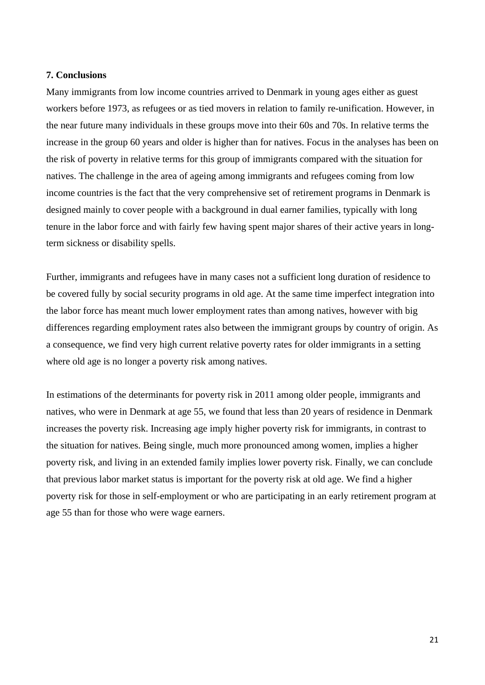#### **7. Conclusions**

Many immigrants from low income countries arrived to Denmark in young ages either as guest workers before 1973, as refugees or as tied movers in relation to family re-unification. However, in the near future many individuals in these groups move into their 60s and 70s. In relative terms the increase in the group 60 years and older is higher than for natives. Focus in the analyses has been on the risk of poverty in relative terms for this group of immigrants compared with the situation for natives. The challenge in the area of ageing among immigrants and refugees coming from low income countries is the fact that the very comprehensive set of retirement programs in Denmark is designed mainly to cover people with a background in dual earner families, typically with long tenure in the labor force and with fairly few having spent major shares of their active years in longterm sickness or disability spells.

Further, immigrants and refugees have in many cases not a sufficient long duration of residence to be covered fully by social security programs in old age. At the same time imperfect integration into the labor force has meant much lower employment rates than among natives, however with big differences regarding employment rates also between the immigrant groups by country of origin. As a consequence, we find very high current relative poverty rates for older immigrants in a setting where old age is no longer a poverty risk among natives.

In estimations of the determinants for poverty risk in 2011 among older people, immigrants and natives, who were in Denmark at age 55, we found that less than 20 years of residence in Denmark increases the poverty risk. Increasing age imply higher poverty risk for immigrants, in contrast to the situation for natives. Being single, much more pronounced among women, implies a higher poverty risk, and living in an extended family implies lower poverty risk. Finally, we can conclude that previous labor market status is important for the poverty risk at old age. We find a higher poverty risk for those in self-employment or who are participating in an early retirement program at age 55 than for those who were wage earners.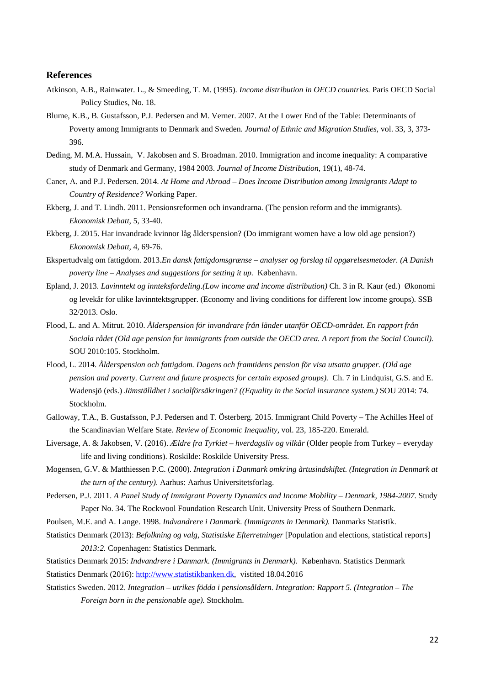#### **References**

- Atkinson, A.B., Rainwater. L., & Smeeding, T. M. (1995). *Income distribution in OECD countries.* Paris OECD Social Policy Studies, No. 18.
- Blume, K.B., B. Gustafsson, P.J. Pedersen and M. Verner. 2007. At the Lower End of the Table: Determinants of Poverty among Immigrants to Denmark and Sweden. *Journal of Ethnic and Migration Studies,* vol. 33, 3, 373- 396.
- Deding, M. M.A. Hussain, V. Jakobsen and S. Broadman. 2010. Immigration and income inequality: A comparative study of Denmark and Germany, 1984 2003. *Journal of Income Distribution,* 19(1), 48-74.
- Caner, A. and P.J. Pedersen. 2014. *At Home and Abroad Does Income Distribution among Immigrants Adapt to Country of Residence?* Working Paper.
- Ekberg, J. and T. Lindh. 2011. Pensionsreformen och invandrarna. (The pension reform and the immigrants). *Ekonomisk Debatt*, 5, 33-40.
- Ekberg, J. 2015. Har invandrade kvinnor låg ålderspension? (Do immigrant women have a low old age pension?) *Ekonomisk Debatt,* 4, 69-76.
- Ekspertudvalg om fattigdom. 2013.*En dansk fattigdomsgrænse analyser og forslag til opgørelsesmetoder. (A Danish poverty line – Analyses and suggestions for setting it up.* København.
- Epland, J. 2013. *Lavinntekt og innteksfordeling*.*(Low income and income distribution)* Ch. 3 in R. Kaur (ed.) Økonomi og levekår for ulike lavinntektsgrupper. (Economy and living conditions for different low income groups). SSB 32/2013. Oslo.
- Flood, L. and A. Mitrut. 2010. *Ålderspension för invandrare från länder utanför OECD-området. En rapport från Sociala rådet (Old age pension for immigrants from outside the OECD area. A report from the Social Council).* SOU 2010:105. Stockholm.
- Flood, L. 2014. *Ålderspension och fattigdom. Dagens och framtidens pension för visa utsatta grupper. (Old age pension and poverty. Current and future prospects for certain exposed groups).* Ch. 7 in Lindquist, G.S. and E. Wadensjö (eds.) *Jämställdhet i socialförsäkringen? ((Equality in the Social insurance system.)* SOU 2014: 74. Stockholm.
- Galloway, T.A., B. Gustafsson, P.J. Pedersen and T. Österberg. 2015. Immigrant Child Poverty The Achilles Heel of the Scandinavian Welfare State. *Review of Economic Inequality,* vol. 23, 185-220. Emerald.
- Liversage, A. & Jakobsen, V. (2016). *Ældre fra Tyrkiet hverdagsliv og vilkår* (Older people from Turkey everyday life and living conditions). Roskilde: Roskilde University Press.
- Mogensen, G.V. & Matthiessen P.C. (2000). *Integration i Danmark omkring årtusindskiftet. (Integration in Denmark at the turn of the century)*. Aarhus: Aarhus Universitetsforlag.
- Pedersen, P.J. 2011. *A Panel Study of Immigrant Poverty Dynamics and Income Mobility Denmark, 1984-2007.* Study Paper No. 34. The Rockwool Foundation Research Unit. University Press of Southern Denmark.
- Poulsen, M.E. and A. Lange. 1998. *Indvandrere i Danmark. (Immigrants in Denmark).* Danmarks Statistik.
- Statistics Denmark (2013): *Befolkning og valg, Statistiske Efterretninger* [Population and elections, statistical reports] *2013:2.* Copenhagen: Statistics Denmark.
- Statistics Denmark 2015: *Indvandrere i Danmark. (Immigrants in Denmark).* København. Statistics Denmark Statistics Denmark (2016): http://www.statistikbanken.dk, vistited 18.04.2016
- Statistics Sweden. 2012. *Integration utrikes födda i pensionsåldern. Integration: Rapport 5. (Integration The Foreign born in the pensionable age).* Stockholm.